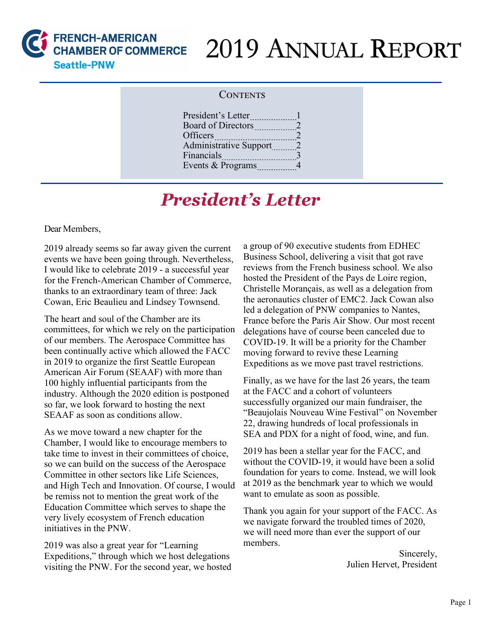

# 2019 ANNUAL REPORT

#### **CONTENTS**

| President's Letter            |                |
|-------------------------------|----------------|
| Board of Directors            | 2              |
| Officers                      | 2              |
| <b>Administrative Support</b> | $\overline{2}$ |
| Financials                    | 3              |
| Events & Programs             | 4              |
|                               |                |

## *President's Letter*

Dear Members,

2019 already seems so far away given the current events we have been going through. Nevertheless, I would like to celebrate 2019 - a successful year for the French-American Chamber of Commerce, thanks to an extraordinary team of three: Jack Cowan, Eric Beaulieu and Lindsey Townsend.

The heart and soul of the Chamber are its committees, for which we rely on the participation of our members. The Aerospace Committee has been continually active which allowed the FACC in 2019 to organize the first Seattle European American Air Forum (SEAAF) with more than 100 highly influential participants from the industry. Although the 2020 edition is postponed so far, we look forward to hosting the next SEAAF as soon as conditions allow.

As we move toward a new chapter for the Chamber, I would like to encourage members to take time to invest in their committees of choice, so we can build on the success of the Aerospace Committee in other sectors like Life Sciences, and High Tech and Innovation. Of course, I would be remiss not to mention the great work of the Education Committee which serves to shape the very lively ecosystem of French education initiatives in the PNW.

2019 was also a great year for "Learning Expeditions," through which we host delegations visiting the PNW. For the second year, we hosted a group of 90 executive students from EDHEC Business School, delivering a visit that got rave reviews from the French business school. We also hosted the President of the Pays de Loire region, Christelle Morançais, as well as a delegation from the aeronautics cluster of EMC2. Jack Cowan also led a delegation of PNW companies to Nantes, France before the Paris Air Show. Our most recent delegations have of course been canceled due to COVID-19. It will be a priority for the Chamber moving forward to revive these Learning Expeditions as we move past travel restrictions.

Finally, as we have for the last 26 years, the team at the FACC and a cohort of volunteers successfully organized our main fundraiser, the "Beaujolais Nouveau Wine Festival" on November 22, drawing hundreds of local professionals in SEA and PDX for a night of food, wine, and fun.

2019 has been a stellar year for the FACC, and without the COVID-19, it would have been a solid foundation for years to come. Instead, we will look at 2019 as the benchmark year to which we would want to emulate as soon as possible.

Thank you again for your support of the FACC. As we navigate forward the troubled times of 2020, we will need more than ever the support of our members.

> Sincerely, Julien Hervet, President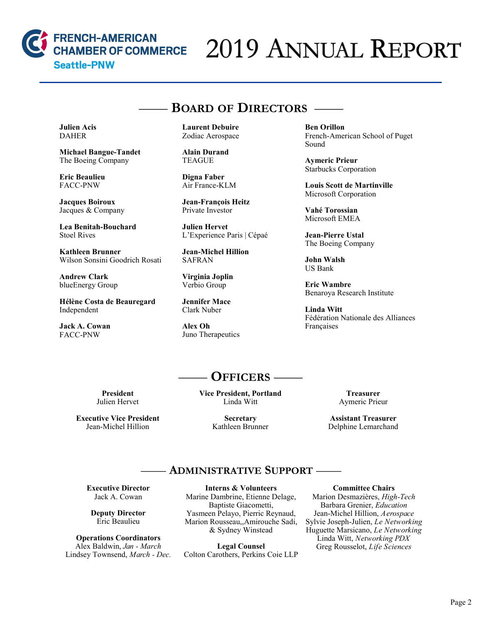

# 2019 ANNUAL REPORT

### —— **BOARD OF DIRECTORS** ——

**Julien Acis**  DAHER

**Michael Bangue-Tandet**  The Boeing Company

**Eric Beaulieu** FACC-PNW

**Jacques Boiroux** Jacques & Company

**Lea Benitah-Bouchard** Stoel Rives

**Kathleen Brunner**  Wilson Sonsini Goodrich Rosati

**Andrew Clark** blueEnergy Group

**Hélène Costa de Beauregard**  Independent

**Jack A. Cowan**  FACC-PNW

**Laurent Debuire**  Zodiac Aerospace

**Alain Durand** TEAGUE

**Digna Faber** Air France-KLM

**Jean-François Heitz**  Private Investor

**Julien Hervet**  L'Experience Paris | Cépaé

**Jean-Michel Hillion**  SAFRAN

**Virginia Joplin** Verbio Group

**Jennifer Mace**  Clark Nuber

**Alex Oh** Juno Therapeutics **Ben Orillon** French-American School of Puget Sound

**Aymeric Prieur** Starbucks Corporation

**Louis Scott de Martinville**  Microsoft Corporation

**Vahé Torossian**  Microsoft EMEA

**Jean-Pierre Ustal** The Boeing Company

**John Walsh**  US Bank

**Eric Wambre** Benaroya Research Institute

**Linda Witt** Fédération Nationale des Alliances Françaises

## —— **OFFICERS** ——

**President**  Julien Hervet

**Executive Vice President** Jean-Michel Hillion

**Vice President, Portland** Linda Witt

> **Secretary** Kathleen Brunner

**Treasurer** Aymeric Prieur

**Assistant Treasurer** Delphine Lemarchand

#### —— **ADMINISTRATIVE SUPPORT** ——

**Executive Director** Jack A. Cowan

**Deputy Director** Eric Beaulieu

**Operations Coordinators** Alex Baldwin, *Jan - March* Lindsey Townsend, *March - Dec.*

**Interns & Volunteers** Marine Dambrine, Etienne Delage, Baptiste Giacometti, Yasmeen Pelayo, Pierric Reynaud, Marion Rousseau,,Amirouche Sadi, & Sydney Winstead

**Legal Counsel** Colton Carothers, Perkins Coie LLP

#### **Committee Chairs**

Marion Desmazières, *High-Tech* Barbara Grenier, *Education* Jean-Michel Hillion, *Aerospace* Sylvie Joseph-Julien, *Le Networking* Huguette Marsicano, *Le Networking* Linda Witt, *Networking PDX* Greg Rousselot, *Life Sciences*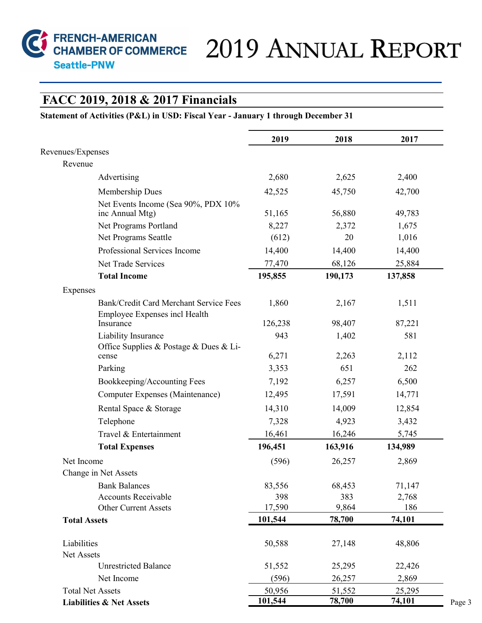

# FRENCH-AMERICAN<br>CHAMBER OF COMMERCE 2019 ANNUAL REPORT

#### **FACC 2019, 2018 & 2017 Financials**

#### **Statement of Activities (P&L) in USD: Fiscal Year - January 1 through December 31**

|                                                                         | 2019    | 2018    | 2017    |
|-------------------------------------------------------------------------|---------|---------|---------|
| Revenues/Expenses                                                       |         |         |         |
| Revenue                                                                 |         |         |         |
| Advertising                                                             | 2,680   | 2,625   | 2,400   |
| Membership Dues                                                         | 42,525  | 45,750  | 42,700  |
| Net Events Income (Sea 90%, PDX 10%<br>inc Annual Mtg)                  | 51,165  | 56,880  | 49,783  |
| Net Programs Portland                                                   | 8,227   | 2,372   | 1,675   |
| Net Programs Seattle                                                    | (612)   | 20      | 1,016   |
| Professional Services Income                                            | 14,400  | 14,400  | 14,400  |
| Net Trade Services                                                      | 77,470  | 68,126  | 25,884  |
| <b>Total Income</b>                                                     | 195,855 | 190,173 | 137,858 |
| Expenses                                                                |         |         |         |
| Bank/Credit Card Merchant Service Fees<br>Employee Expenses incl Health | 1,860   | 2,167   | 1,511   |
| Insurance                                                               | 126,238 | 98,407  | 87,221  |
| Liability Insurance<br>Office Supplies & Postage & Dues & Li-           | 943     | 1,402   | 581     |
| cense                                                                   | 6,271   | 2,263   | 2,112   |
| Parking                                                                 | 3,353   | 651     | 262     |
| Bookkeeping/Accounting Fees                                             | 7,192   | 6,257   | 6,500   |
| Computer Expenses (Maintenance)                                         | 12,495  | 17,591  | 14,771  |
| Rental Space & Storage                                                  | 14,310  | 14,009  | 12,854  |
| Telephone                                                               | 7,328   | 4,923   | 3,432   |
| Travel & Entertainment                                                  | 16,461  | 16,246  | 5,745   |
| <b>Total Expenses</b>                                                   | 196,451 | 163,916 | 134,989 |
| Net Income                                                              | (596)   | 26,257  | 2,869   |
| Change in Net Assets                                                    |         |         |         |
| <b>Bank Balances</b>                                                    | 83,556  | 68,453  | 71,147  |
| <b>Accounts Receivable</b>                                              | 398     | 383     | 2,768   |
| Other Current Assets                                                    | 17,590  | 9,864   | 186     |
| <b>Total Assets</b>                                                     | 101,544 | 78,700  | 74,101  |
| Liabilities                                                             | 50,588  | 27,148  | 48,806  |
| Net Assets<br><b>Unrestricted Balance</b>                               | 51,552  | 25,295  | 22,426  |
| Net Income                                                              | (596)   | 26,257  | 2,869   |
| <b>Total Net Assets</b>                                                 | 50,956  | 51,552  | 25,295  |
| <b>Liabilities &amp; Net Assets</b>                                     | 101,544 | 78,700  | 74,101  |